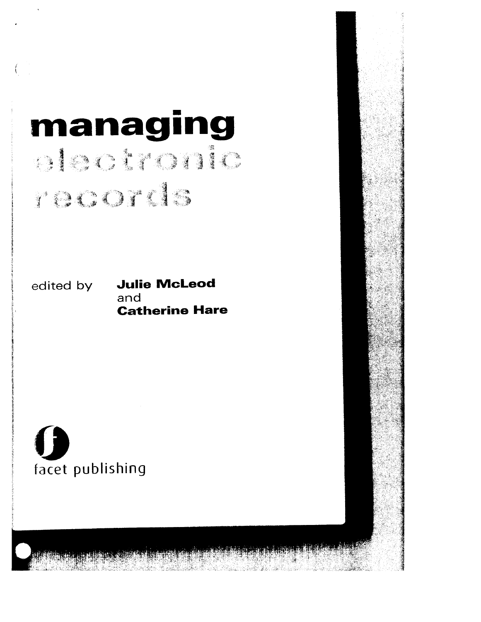# • **manag1ng**  racorde.

edited by **Julie McLeod** and **Catherine Hare** 

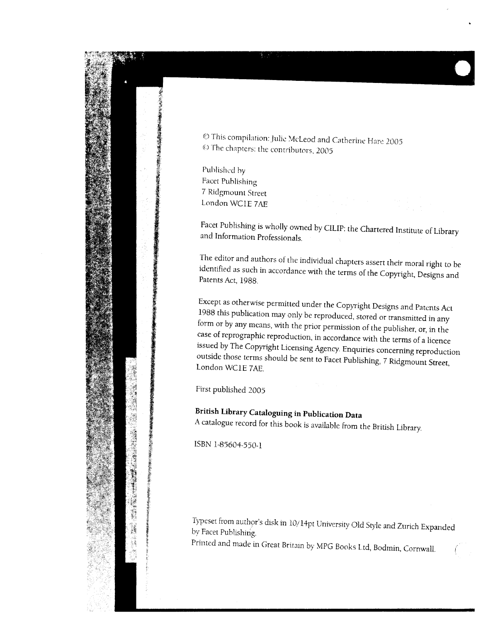

© This compilation: Julie McLeod and Catherine Hare 2005 © The chapters: the contributors, 2005

Published by Facet Publishing 7 Ridgmount Street London WC1E 7AE

Facet Publishing is wholly owned by CILIP: the Chartered Institute of Library and Informution Professionals.

The editor and authors of the individual chapters assert their moral right to be identified as such in accordance with the terms of the Copyright, Designs and Patents Act, 1988.

Except as otherwise permitted under the Copyright Designs and Patents Act 1988 this publication may only be reproduced, stored or transmitted in any form or by any means, with the prior permission of the publisher, or, in the case of reprographic reproduction, in accordance with the terms of a licence issued by The Copyright Licensing Agency. Enquiries concerning reproduction outside those terms should be sent to Facet Publishing, 7 Ridgmount Street, London WC1E 7AE.

First published 2005

**British Library Cataloguing in Data** 

A catalogue record for this book is available from the British Library.

ISBN 1-85604-550-1

Typeset from author's disk in 10/14pt University Old Style and Zurich Expanded by Facet Publishing.

Printed and made in Great Britain by MPG Books Ltd, Bodmin, Cornwall.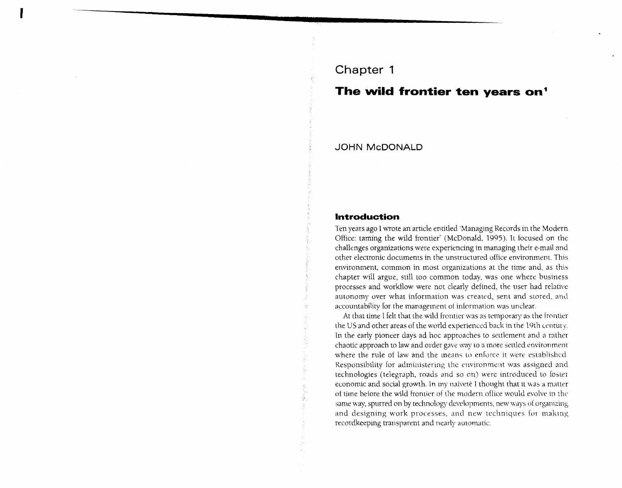# Chapter 1

# The wild frontier ten years on'

**JOHN McDONALD** 

## **Introduction**

Ten years ago I wrote an article entitled 'Managing Records in the Modern Office: taming the wild frontier' (McDonald, 1995). It focused on the challenges organizations were experiencing in managing their e-mail and other electronic documents in the unstructured office environment. This environment, common in most organizations at the time and, as this chapter will argue, still too common today, was one where business processes and workflow were not clearly defined, the user had relative autonomy over what information was created, sent and stored, and accountability for the management of information was unclear.

At that time I felt that the wild frontier was as temporary as the frontier the US and other areas of the world experienced back in the 19th century. In the early pioneer days ad hoc approaches to settlement and a rather chaotic approach to law and order gave way to a more settled environment where the rule of law and the means to enforce it were established. Responsibility for administering the environment was assigned and technologies (telegraph, roads and so on) were introduced to foster economic and social growth. In my naiveté I thought that it was a matter of time before the wild frontier of the modern office would evolve in the same way, spurred on by technology developments, new ways of organizing and designing work processes, and new techniques for making recordkeeping transparent and nearly automatic.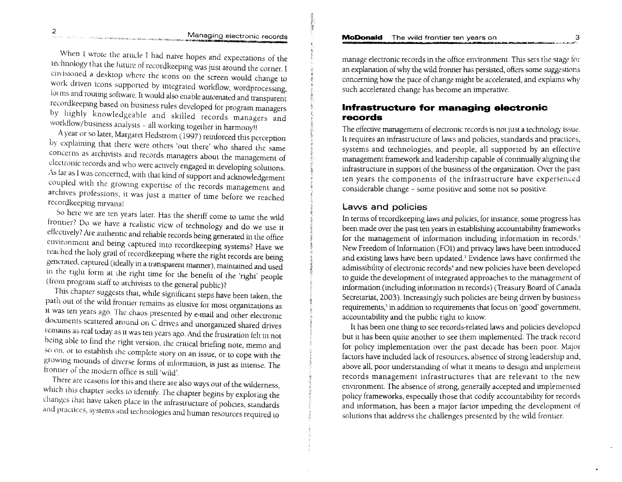#### **McDonald** The wild frontier ten years on

#### Managing electronic records

When I wrote the article I had naive hopes and expectations of the technology that the future of recordkeeping was just around the corner. I envisioned a desktop where the icons on the screen would change to work driven icons supported by integrated workflow, wordprocessing, forms and routing software. It would also enable automated and transparent recordkeeping based on business rules developed for program managers by highly knowledgeable and skilled records managers and workflow/business analysts - all working together in harmony!

A year or so later, Margaret Hedstrom (1997) reinforced this perception by explaining that there were others 'out there' who shared the same concerns as archivists and records managers about the management of electronic records and who were actively engaged in developing solutions. As far as I was concerned, with that kind of support and acknowledgement coupled with the growing expertise of the records management and archives professions, it was just a matter of time before we reached recordkeeping nirvana!

So here we are ten years later. Has the sheriff come to tame the wild frontier? Do we have a realistic view of technology and do we use it effectively? Are authentic and reliable records being generated in the office environment and being captured into recordkeeping systems? Have we reached the holy grail of recordkeeping where the right records are being gencrated, captured (ideally in a transparent manner), maintained and used in the right form at the right time for the benefit of the 'right' people (from program staff to archivists to the general public)?

This chapter suggests that, while significant steps have been taken, the path out of the wild frontier remains as elusive for most organizations as it was ten years ago. The chaos presented by e-mail and other electronic documents scattered around on C drives and unorganized shared drives remains as real today as it was ten years ago. And the frustration felt in not being able to find the right version, the critical briefing note, memo and so on, or to establish the complete story on an issue, or to cope with the growing mounds of diverse forms of information, is just as intense. The frontier of the modern office is still 'wild'.

There are reasons for this and there are also ways out of the wilderness, which this chapter seeks to identify. The chapter begins by exploring the changes that have taken place in the infrastructure of policies, standards and practices, systems and technologies and human resources required to

manage electronic records in the office environment. This sets the stage for an explanation of why the wild frontier has persisted, offers some suggestions concerning how the pace of change might be accelerated, and explains why such accelerated change has become an imperative.

# **lnfrastructure for managing electronic records**

The effective management of electronic records is not just a technology issue. It requires an infrastructure of laws and policies, standards and practices, systems and technologies, and people, all supported by an effective management framework and leadership capable of continually aligning the infrastructure in support of the business of the organization. Over the past ten years the components of the infrastructure have experienced considerable change - some positive and some not so positive.

## **Laws and policies**

In terms of *recordkeeping laws and policies*, for instance, some progress has been made over the past ten years in establishing accountability frameworks for the management of information including information in records.<sup>2</sup> New Freedom of Information (FOI) and privacy laws have been introduced and existing laws have been updated.<sup>3</sup> Evidence laws have confirmed the admissibility of electronic records' and new policies have been developed to guide the development of integrated approaches to the management of information (including information in records) (Treasury Board of Canada Secretariat, 2003). Increasingly such policies are being driven by business requirements,<sup>5</sup> in addition to requirements that focus on 'good' government, accountability and the public right to know.

It has been one thing to see records-related laws and policies developed but it has been quite another to see them implemented. The track record for policy implementation over the past decade has been poor. Major factors have included lack of resources, absence of strong leadership and, above all, poor understanding of what it means to design and implement records management infrastructures that are relevant to the new environment. The absence of strong, generally accepted and implemented policy frameworks, especially those that codify accountability for records and information, has been a major factor impeding the development of solutions that address the challenges presented by the wild frontier.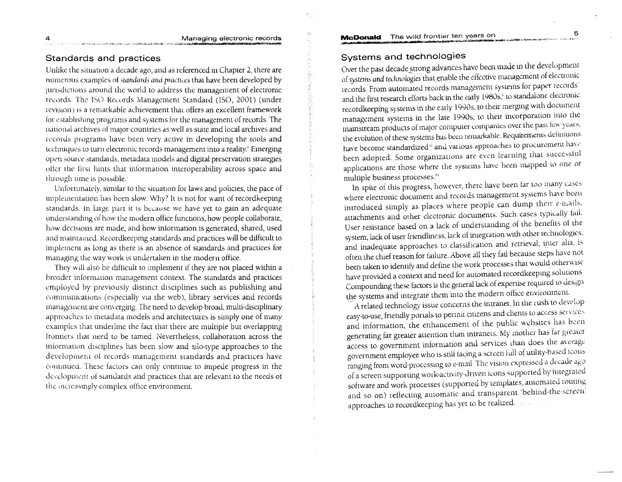# Standards and practices

Unlike the situation a decade ago, and as referenced in Chapter 2, there are numerous examples of standards and practices that have been developed by jurisdictions around the world to address the management of electronic records. The ISO Records Management Standard (ISO, 2001) (under revision) is a remarkable achievement that offers an excellent framework for establishing programs and systems for the management of records. The national archives of major countries as well as state and local archives and records programs have been very active in developing the tools and techniques to turn electronic records management into a reality.<sup>6</sup> Emerging open source standards, metadata models and digital preservation strategies offer the first hints that information interoperability across space and through time is possible.<sup>3</sup>

Unfortunately, similar to the situation for laws and policies, the pace of implementation has been slow. Why? It is not for want of recordkeeping standards. In large part it is because we have yet to gain an adequate understanding of how the modern office functions, how people collaborate, how decisions are made, and how information is generated, shared, used and maintained. Recordkeeping standards and practices will be difficult to implement as long as there is an absence of standards and practices for managing the way work is undertaken in the modern office.

They will also be difficult to implement if they are not placed within a broader information management context. The standards and practices employed by previously distinct disciplines such as publishing and communications (especially via the web), library services and records management are converging. The need to develop broad, multi-disciplinary approaches to metadata models and architectures is simply one of many examples that underline the fact that there are multiple but overlapping frontiers that need to be tamed. Nevertheless, collaboration across the information disciplines has been slow and silo-type approaches to the development of records management standards and practices have continued. These factors can only continue to impede progress in the development of standards and practices that are relevant to the needs of the increasingly complex office environment.

#### McDonald The wild frontier ten years on

## Systems and technologies

Over the past decade strong advances have been made in the development of systems and technologies that enable the effective management of electronic records. From automated records management systems for paper records and the first research efforts back in the early 1980s,<sup>9</sup> to standalone electronic recordkeeping systems in the early 1990s, to their merging with document management systems in the late 1990s, to their incorporation into the mainstream products of major computer companies over the past few years, the evolution of these systems has been remarkable. Requirements definitions have become standardized<sup>10</sup> and various approaches to procurement have been adopted. Some organizations are even learning that successful applications are those where the systems have been mapped to one or multiple business processes.<sup>11</sup>

In spite of this progress, however, there have been far too many cases where electronic document and records management systems have been introduced simply as places where people can dump their e-mails, attachments and other electronic documents. Such cases typically fail. User resistance based on a lack of understanding of the benefits of the system, lack of user friendliness, lack of integration with other technologies, and inadequate approaches to classification and retrieval, inter alia, is often the chief reason for failure. Above all they fail because steps have not been taken to identify and define the work processes that would otherwise have provided a context and need for automated recordkeeping solutions Compounding these factors is the general lack of expertise required to design the systems and integrate them into the modern office environment.

A related technology issue concerns the intranet. In the rush to develop easy-to-use, friendly portals to permit citizens and clients to access services and information, the enhancement of the public websites has been generating far greater attention than intranets. My mother has far greater access to government information and services than does the average government employee who is still facing a screen full of utility-based icons ranging from word-processing to e-mail. The vision expressed a decade ago of a screen supporting work-activity-driven icons supported by integrated software and work processes (supported by templates, automated routing and so on) reflecting automatic and transparent 'behind-the-screen' approaches to recordkeeping has yet to be realized. The second

5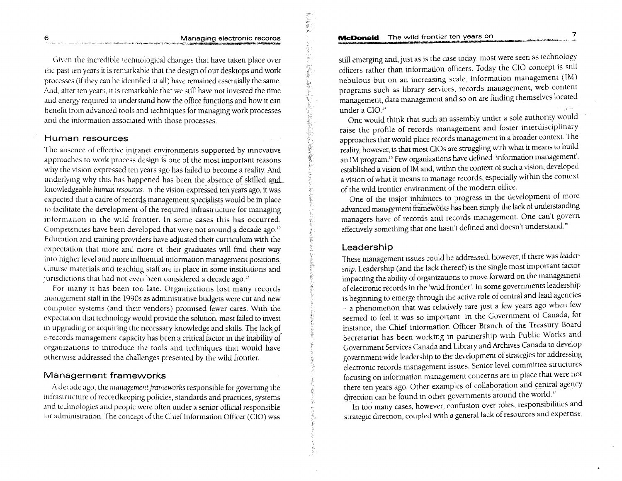#### McDonald The wild frontier ten years on

地质质度

人名英格兰 化重新

美国家学

Given the incredible technological changes that have taken place over the past ten years it is remarkable that the design of our desktops and work processes (if they can be identified at all) have remained essentially the same. And, after ten years, it is remarkable that we still have not invested the time and energy required to understand how the office functions and how it can benefit from advanced tools and techniques for managing work processes and the information associated with those processes.

#### Human resources

The absence of effective intranet environments supported by innovative approaches to work process design is one of the most important reasons why the vision expressed ten years ago has failed to become a reality. And underlying why this has happened has been the absence of skilled and knowledgeable human resources. In the vision expressed ten years ago, it was expected that a cadre of records management specialists would be in place to facilitate the development of the required infrastructure for managing information in the wild frontier. In some cases this has occurred. Competencies have been developed that were not around a decade ago.<sup>12</sup> Education and training providers have adjusted their curriculum with the expectation that more and more of their graduates will find their way into higher level and more influential information management positions. Course materials and teaching staff are in place in some institutions and jurisdictions that had not even been considered a decade ago.<sup>13</sup>

For many it has been too late. Organizations lost many records management staff in the 1990s as administrative budgets were cut and new computer systems (and their vendors) promised fewer cares. With the expectation that technology would provide the solution, most failed to invest in upgrading or acquiring the necessary knowledge and skills. The lack of e-records management capacity has been a critical factor in the inability of organizations to introduce the tools and techniques that would have otherwise addressed the challenges presented by the wild frontier.

# Management frameworks

A decade ago, the management frameworks responsible for governing the infrastructure of recordkeeping policies, standards and practices, systems and technologies and people were often under a senior official responsible for administration. The concept of the Chief Information Officer (CIO) was still emerging and, just as is the case today, most were seen as technology officers rather than information officers. Today the CIO concept is still nebulous but on an increasing scale, information management (IM) programs such as library services, records management, web content management, data management and so on are finding themselves located under a CIO.<sup>14</sup>

One would think that such an assembly under a sole authority would raise the profile of records management and foster interdisciplinary approaches that would place records management in a broader context. The reality, however, is that most CIOs are struggling with what it means to build an IM program.<sup>15</sup> Few organizations have defined 'information management', established a vision of IM and, within the context of such a vision, developed a vision of what it means to manage records, especially within the context of the wild frontier environment of the modern office.

One of the major inhibitors to progress in the development of more advanced management frameworks has been simply the lack of understanding managers have of records and records management. One can't govern effectively something that one hasn't defined and doesn't understand.<sup>16</sup>

#### Leadership

These management issues could be addressed, however, if there was leadership. Leadership (and the lack thereof) is the single most important factor impacting the ability of organizations to move forward on the management of electronic records in the 'wild frontier'. In some governments leadership is beginning to emerge through the active role of central and lead agencies - a phenomenon that was relatively rare just a few years ago when few seemed to feel it was so important. In the Government of Canada, for instance, the Chief Information Officer Branch of the Treasury Board Secretariat has been working in partnership with Public Works and Government Services Canada and Library and Archives Canada to develop government-wide leadership to the development of strategies for addressing electronic records management issues. Senior level committee structures focusing on information management concerns are in place that were not there ten years ago. Other examples of collaboration and central agency direction can be found in other governments around the world."

In too many cases, however, confusion over roles, responsibilities and strategic direction, coupled with a general lack of resources and expertise,

6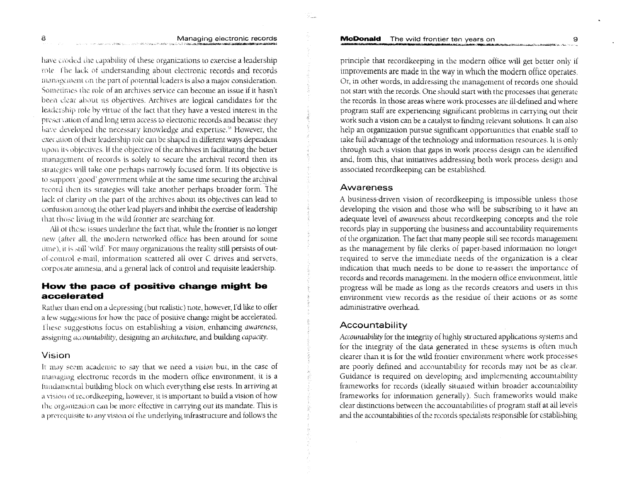have croded the capability of these organizations to exercise a leadership role. The lack of understanding about electronic records and records management on the part of potential leaders is also a major consideration. Sometimes the role of an archives service can become an issue if it hasn't been clear about its objectives. Archives are logical candidates for the leadership role by virtue of the fact that they have a vested interest in the preservation of and long term access to electronic records and because they have developed the necessary knowledge and expertise.<sup>38</sup> However, the execution of their leadership role can be shaped in different ways dependent upon its objectives. If the objective of the archives in facilitating the better management of records is solely to secure the archival record then its strategies will take one perhaps narrowly focused form. If its objective is to support 'good' government while at the same time securing the archival record then its strategies will take another perhaps broader form. The lack of clarity on the part of the archives about its objectives can lead to confusion among the other lead players and inhibit the exercise of leadership that those living in the wild frontier are searching for.

All of these issues underline the fact that, while the frontier is no longer new (alter all, the modern networked office has been around for some time), it is still 'wild'. For many organizations the reality still persists of outof-control e-mail, information scattered all over C drives and servers, corporate amnesia, and a general lack of control and requisite leadership.

## How the pace of positive change might be accelerated

Rather than end on a depressing (but realistic) note, however, I'd like to offer a few suggestions for how the pace of positive change might be accelerated. These suggestions focus on establishing a vision, enhancing awareness, assigning accountability, designing an architecture, and building capacity.

#### Vision

It may seem academic to say that we need a vision but, in the case of managing electronic records in the modern office environment, it is a fundamental building block on which everything else rests. In arriving at a vision of recordkeeping, however, it is important to build a vision of how the organization can be more effective in carrying out its mandate. This is a prerequisite to any vision of the underlying infrastructure and follows the principle that recordkeeping in the modern office will get better only if improvements are made in the way in which the modern office operates. Or, in other words, in addressing the management of records one should not start with the records. One should start with the processes that generate the records. In those areas where work processes are ill-defined and where program staff are experiencing significant problems in carrying out their work such a vision can be a catalyst to finding relevant solutions. It can also help an organization pursue significant opportunities that enable staff to take full advantage of the technology and information resources. It is only through such a vision that gaps in work process design can be identified and, from this, that initiatives addressing both work process design and associated recordkeeping can be established.

#### Awareness

A business-driven vision of recordkeeping is impossible unless those developing the vision and those who will be subscribing to it have an adequate level of awareness about recordkeeping concepts and the role records play in supporting the business and accountability requirements of the organization. The fact that many people still see records management as the management by file clerks of paper-based information no longer required to serve the immediate needs of the organization is a clear indication that much needs to be done to re-assert the importance of records and records management. In the modern office environment, little progress will be made as long as the records creators and users in this environment view records as the residue of their actions or as some administrative overhead.

#### Accountability

Accountability for the integrity of highly structured applications systems and for the integrity of the data generated in these systems is often much clearer than it is for the wild frontier environment where work processes are poorly defined and accountability for records may not be as clear. Guidance is required on developing and implementing accountability frameworks for records (ideally situated within broader accountability frameworks for information generally). Such frameworks would make clear distinctions between the accountabilities of program staff at all levels and the accountabilities of the records specialists responsible for establishing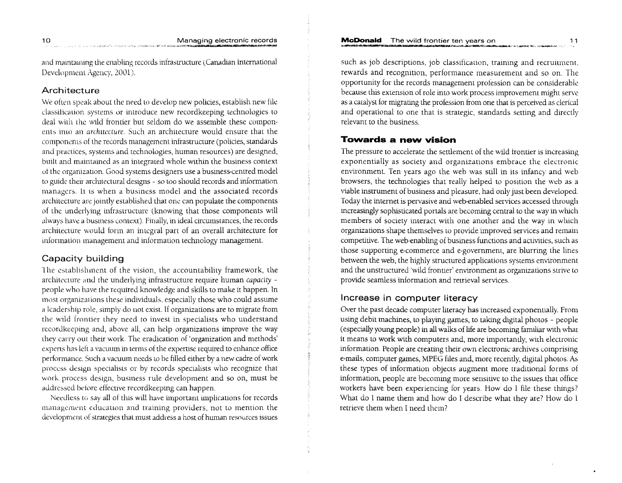and maintainng the enabling records infrastructure (Canadian International Development Agency, 2001).

#### Architecture

We often speak about the need to develop new policies, establish new file classification systems or introduce new recordkeeping technologies to deal with the wild frontier but seldom do we assemble these components into an architecture. Such an architecture would ensure that the components of the records management infrastructure (policies, standards and practices, systems and technologies, human resources) are designed, built and maintained as an integrated whole within the business context of the organization. Good systems designers use a business-centred model to guide their architectural designs - so too should records and information managers. It is when a business model and the associated records architecture are jointly established that one can populate the components of the underlying infrastructure (knowing that those components will always have a business context). Finally, in ideal circumstances, the records architecture would form an integral part of an overall architecture for information management and information technology management.

## Capacity building

The establishment of the vision, the accountability framework, the architecture and the underlying infrastructure require human capacity people who have the required knowledge and skills to make it happen. In most organizations these individuals, especially those who could assume a leadership role, simply do not exist. If organizations are to migrate from the wild frontier they need to invest in specialists who understand recordkeeping and, above all, can help organizations improve the way they carry out their work. The eradication of 'organization and methods' experts has left a vacuum in terms of the expertise required to enhance office performance. Such a vacuum needs to be filled either by a new cadre of work process design specialists or by records specialists who recognize that work process design, business rule development and so on, must be addressed before effective recordkeeping can happen.

Needless to say all of this will have important implications for records management education and training providers, not to mention the development of strategies that must address a host of human resources issues such as job descriptions, job classification, training and recruitment, rewards and recognition, performance measurement and so on. The opportunity for the records management profession can be considerable because this extension of role into work process improvement might serve as a catalyst for migrating the profession from one that is perceived as clerical and operational to one that is strategic, standards setting and directly relevant to the business.

# **Towards a new vision**

The pressure to accelerate the settlement of the wild frontier is increasing exponentially as society and organizations embrace the electronic environment. Ten years ago the web was still in its infancy and web browsers, the technologies that really helped to position the web as a viable instrument of business and pleasure, had only just been developed. Today the internet is pervasive and web-enabled services accessed through increasingly sophisticated portals are becoming central to the way in which members of society interact with one another and the way in which organizations shape themselves to provide improved services and remain competitive. The web-enabling of business functions and activities, such as those supporting e-commerce and e-government, are blurring the lines between the web, the highly structured applications systems environment and the unstructured 'wild frontier' environment as organizations strive to provide seamless information and retrieval services.

# Increase in computer literacy

Over the past decade computer literacy has increased exponentially. From using debit machines, to playing games, to taking digital photos - people (especially young people) in all walks of life are becoming familiar with what it means to work with computers and, more importantly, with electronic information. People are creating their own electronic archives comprising e-mails, computer games, MPEG files and, more recently, digital photos. As these types of information objects augment more traditional forms of information, people are becoming more sensitive to the issues that office workers have been experiencing for years. How do I file these things? What do I name them and how do I describe what they are? How do I retrieve them when I need them?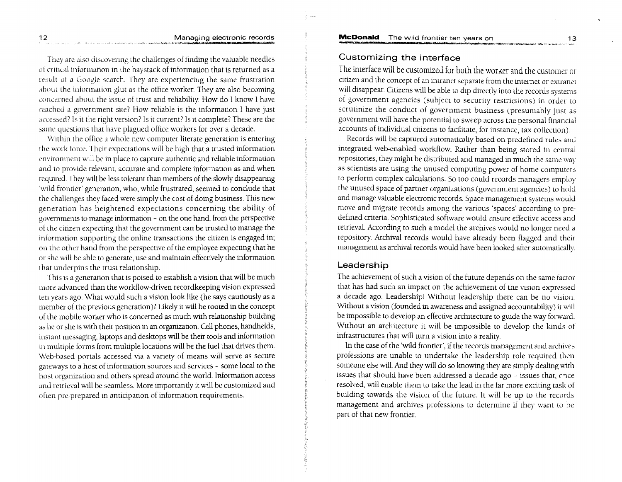#### Managing electronic records

They are also discovering the challenges of finding the valuable needles of critical information in the haystack of information that is returned as a result of a Google search. They are experiencing the same frustration about the information glut as the office worker. They are also becoming concerned about the issue of trust and reliability. How do I know I have reached a government site? How reliable is the information I have just accessed? Is it the right version? Is it current? Is it complete? These are the same questions that have plagued office workers for over a decade.

Within the office a whole new computer literate generation is entering the work force. Their expectations will be high that a trusted information environment will be in place to capture authentic and reliable information and to provide relevant, accurate and complete information as and when required. They will be less tolerant than members of the slowly disappearing 'wild frontier' generation, who, while frustrated, seemed to conclude that the challenges they faced were simply the cost of doing business. This new generation has heightened expectations concerning the ability of governments to manage information - on the one hand, from the perspective of the citizen expecting that the government can be trusted to manage the information supporting the online transactions the citizen is engaged in; on the other hand from the perspective of the employee expecting that he or she will be able to generate, use and maintain effectively the information that underpins the trust relationship.

This is a generation that is poised to establish a vision that will be much more advanced than the workflow-driven recordkeeping vision expressed ten years ago. What would such a vision look like (he says cautiously as a member of the previous generation)? Likely it will be rooted in the concept of the mobile worker who is concerned as much with relationship building as he or she is with their position in an organization. Cell phones, handhelds, instant messaging, laptops and desktops will be their tools and information in multiple forms from multiple locations will be the fuel that drives them. Web-based portals accessed via a variety of means will serve as secure gateways to a host of information sources and services - some local to the host organization and others spread around the world. Information access and retrieval will be seamless. More importantly it will be customized and often pre-prepared in anticipation of information requirements.

# Customizing the interface

The interface will be customized for both the worker and the customer or citizen and the concept of an intranet separate from the internet or extranet will disappear. Citizens will be able to dip directly into the records systems of government agencies (subject to security restrictions) in order to scrutinize the conduct of government business (presumably just as government will have the potential to sweep across the personal financial accounts of individual citizens to facilitate, for instance, tax collection).

Records will be captured automatically based on predefined rules and integrated web-enabled workflow. Rather than being stored in central repositories, they might be distributed and managed in much the same way as scientists are using the unused computing power of home computers to perform complex calculations. So too could records managers employ the unused space of partner organizations (government agencies) to hold and manage valuable electronic records. Space management systems would move and migrate records among the various 'spaces' according to predefined criteria. Sophisticated software would ensure effective access and retrieval. According to such a model the archives would no longer need a repository. Archival records would have already been flagged and their management as archival records would have been looked after automatically.

#### Leadership

The achievement of such a vision of the future depends on the same factor that has had such an impact on the achievement of the vision expressed a decade ago. Leadership! Without leadership there can be no vision. Without a vision (founded in awareness and assigned accountability) it will be impossible to develop an effective architecture to guide the way forward. Without an architecture it will be impossible to develop the kinds of infrastructures that will turn a vision into a reality.

In the case of the 'wild frontier', if the records management and archives professions are unable to undertake the leadership role required then someone else will. And they will do so knowing they are simply dealing with issues that should have been addressed a decade ago - issues that, chce resolved, will enable them to take the lead in the far more exciting task of building towards the vision of the future. It will be up to the records management and archives professions to determine if they want to be part of that new frontier.

12

 $13$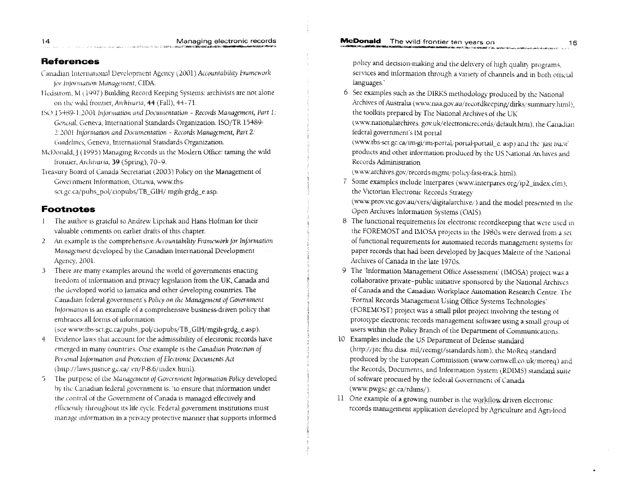#### **References**

- Canadian International Development Agency (2001) Accountability Framework for Information Management, CIDA.
- Hedstrom, M (1997) Building Record Keeping Systems: archivists are not alone on the wild frontier, Archivaria, 44 (Fall), 44-71.
- 15O 15489-1:2001 Information and Documentation Records Management, Part 1: General, Geneva, International Standards Organization. ISO/TR 15489-2:2001 Information and Documentation - Records Management, Part 2: Guidelines, Geneva, International Standards Organization.
- McDonald, J (1995) Managing Records in the Modern Office: taming the wild frontier, Archivaria, 39 (Spring), 70-9.
- Treasury Board of Canada Secretariat (2003) Policy on the Management of Government Information, Ottawa, www.tbssct.gc.ca/pubs\_pol/ciopubs/TB\_GIH/ mgih-grdg\_e.asp.

#### **Footnotes**

- The author is grateful to Andrew Lipchak and Hans Hofman for their  $\mathbf{I}$ valuable comments on earlier drafts of this chapter.
- 2 An example is the comprehensive Accountability Framework for Information Management developed by the Canadian International Development Agency, 2001.
- There are many examples around the world of governments enacting 3 freedom of information and privacy legislation from the UK, Canada and the developed world to Jamaica and other developing countries. The Canadian federal government's Policy on the Management of Government Information is an example of a comprehensive business-driven policy that embraces all forms of information

(see www.tbs-sct.gc.ca/pubs\_pol/ciopubs/TB\_GIH/mgih-grdg\_e.asp).

- $\overline{4}$ Evidence laws that account for the admissibility of electronic records have emerged in many countries. One example is the Canadian Protection of Personal Information and Protection of Electronic Documents Act (http://laws.justice.gc.ca/ en/P-8.6/index.html).
- The purpose of the Management of Government Information Policy developed 5 by the Canadian federal government is: 'to ensure that information under the control of the Government of Canada is managed effectively and efficiently throughout its life cycle. Federal government institutions must manage information in a privacy protective manner that supports informed

policy and decision-making and the delivery of high quality programs, services and information through a variety of channels and in both official languages.

6 See examples such as the DIRKS methodology produced by the National Archives of Australia (www.naa.gov.au/recordkeeping/dirks/summary.html), the toolkits prepared by The National Archives of the UK

(www.nationalarchives.gov.uk/electronicrecords/default.htm), the Canadian federal government's IM portal

(www.tbs-sct.gc.ca/im-gi/im-portal/portal-portail\_e. asp) and the 'fast track' products and other information produced by the US National Archives and Records Administration

(www.archives.gov/records-mgmt/policy-fast-track.html).

7 Some examples include Interpares (www.interpares.org/ip2\_index.cfm), the Victorian Electronic Records Strategy

(www.prov.vic.gov.au/vers/digitalarchive/) and the model presented in the Open Archives Information Systems (OAIS).

- 8 The functional requirements for electronic recordkeeping that were used in the FOREMOST and IMOSA projects in the 1980s were derived from a set of functional requirements for automated records management systems for paper records that had been developed by Jacques Malette of the National Archives of Canada in the late 1970s.
- 9 The 'Information Management Office Assessment' (IMOSA) project was a collaborative private-public initiative sponsored by the National Archives of Canada and the Canadian Workplace Automation Research Centre. The 'Formal Records Management Using Office Systems Technologies' (FOREMOST) project was a small pilot project involving the testing of prototype electronic records management software using a small group of users within the Policy Branch of the Department of Communications.
- 10 Examples include the US Department of Defense standard (http://jitc.fhu.disa. mil/recmgt/standards.htm), the MoReq standard produced by the European Commission (www.cornwell.co.uk/moreq) and the Records, Documents, and Information System (RDIMS) standard suite of software procured by the federal Government of Canada (www.pwgsc.gc.ca/rdims/).
- 11 One example of a growing number is the workflow driven electronic records management application developed by Agriculture and Agri-food